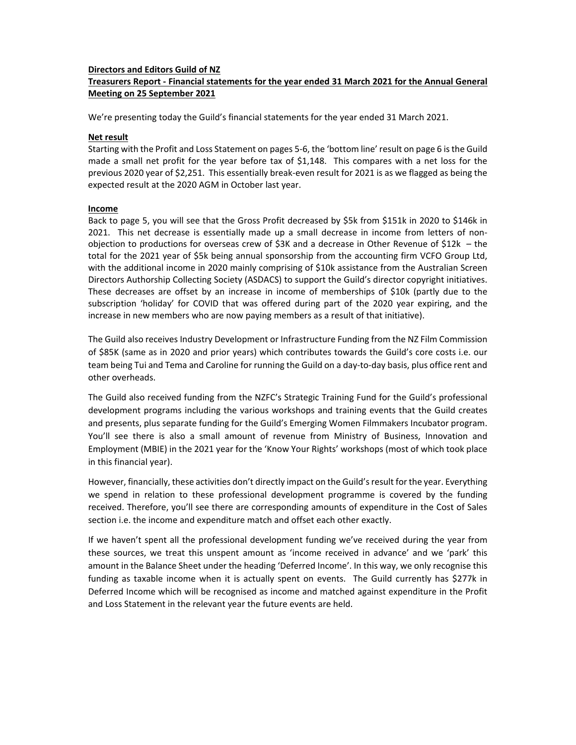## **Directors and Editors Guild of NZ**

# **Treasurers Report ‐ Financial statements for the year ended 31 March 2021 for the Annual General Meeting on 25 September 2021**

We're presenting today the Guild's financial statements for the year ended 31 March 2021.

## **Net result**

Starting with the Profit and Loss Statement on pages 5‐6, the 'bottom line' result on page 6 is the Guild made a small net profit for the year before tax of  $$1,148$ . This compares with a net loss for the previous 2020 year of \$2,251. This essentially break‐even result for 2021 is as we flagged as being the expected result at the 2020 AGM in October last year.

### **Income**

Back to page 5, you will see that the Gross Profit decreased by \$5k from \$151k in 2020 to \$146k in 2021. This net decrease is essentially made up a small decrease in income from letters of nonobjection to productions for overseas crew of \$3K and a decrease in Other Revenue of \$12k – the total for the 2021 year of \$5k being annual sponsorship from the accounting firm VCFO Group Ltd, with the additional income in 2020 mainly comprising of \$10k assistance from the Australian Screen Directors Authorship Collecting Society (ASDACS) to support the Guild's director copyright initiatives. These decreases are offset by an increase in income of memberships of \$10k (partly due to the subscription 'holiday' for COVID that was offered during part of the 2020 year expiring, and the increase in new members who are now paying members as a result of that initiative).

The Guild also receives Industry Development or Infrastructure Funding from the NZ Film Commission of \$85K (same as in 2020 and prior years) which contributes towards the Guild's core costs i.e. our team being Tui and Tema and Caroline for running the Guild on a day‐to‐day basis, plus office rent and other overheads.

The Guild also received funding from the NZFC's Strategic Training Fund for the Guild's professional development programs including the various workshops and training events that the Guild creates and presents, plus separate funding for the Guild's Emerging Women Filmmakers Incubator program. You'll see there is also a small amount of revenue from Ministry of Business, Innovation and Employment (MBIE) in the 2021 year for the 'Know Your Rights' workshops (most of which took place in this financial year).

However, financially, these activities don't directly impact on the Guild's result for the year. Everything we spend in relation to these professional development programme is covered by the funding received. Therefore, you'll see there are corresponding amounts of expenditure in the Cost of Sales section i.e. the income and expenditure match and offset each other exactly.

If we haven't spent all the professional development funding we've received during the year from these sources, we treat this unspent amount as 'income received in advance' and we 'park' this amount in the Balance Sheet under the heading 'Deferred Income'. In this way, we only recognise this funding as taxable income when it is actually spent on events. The Guild currently has \$277k in Deferred Income which will be recognised as income and matched against expenditure in the Profit and Loss Statement in the relevant year the future events are held.